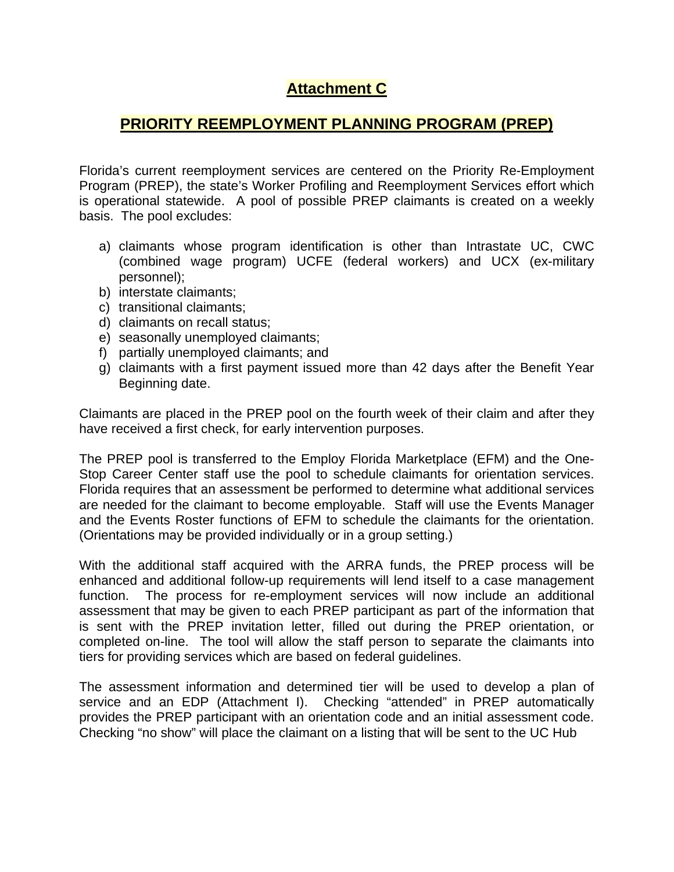# **Attachment C**

## **PRIORITY REEMPLOYMENT PLANNING PROGRAM (PREP)**

Florida's current reemployment services are centered on the Priority Re-Employment Program (PREP), the state's Worker Profiling and Reemployment Services effort which is operational statewide. A pool of possible PREP claimants is created on a weekly basis. The pool excludes:

- a) claimants whose program identification is other than Intrastate UC, CWC (combined wage program) UCFE (federal workers) and UCX (ex-military personnel);
- b) interstate claimants;
- c) transitional claimants;
- d) claimants on recall status;
- e) seasonally unemployed claimants;
- f) partially unemployed claimants; and
- g) claimants with a first payment issued more than 42 days after the Benefit Year Beginning date.

Claimants are placed in the PREP pool on the fourth week of their claim and after they have received a first check, for early intervention purposes.

The PREP pool is transferred to the Employ Florida Marketplace (EFM) and the One-Stop Career Center staff use the pool to schedule claimants for orientation services. Florida requires that an assessment be performed to determine what additional services are needed for the claimant to become employable. Staff will use the Events Manager and the Events Roster functions of EFM to schedule the claimants for the orientation. (Orientations may be provided individually or in a group setting.)

With the additional staff acquired with the ARRA funds, the PREP process will be enhanced and additional follow-up requirements will lend itself to a case management function. The process for re-employment services will now include an additional assessment that may be given to each PREP participant as part of the information that is sent with the PREP invitation letter, filled out during the PREP orientation, or completed on-line. The tool will allow the staff person to separate the claimants into tiers for providing services which are based on federal guidelines.

The assessment information and determined tier will be used to develop a plan of service and an EDP (Attachment I). Checking "attended" in PREP automatically provides the PREP participant with an orientation code and an initial assessment code. Checking "no show" will place the claimant on a listing that will be sent to the UC Hub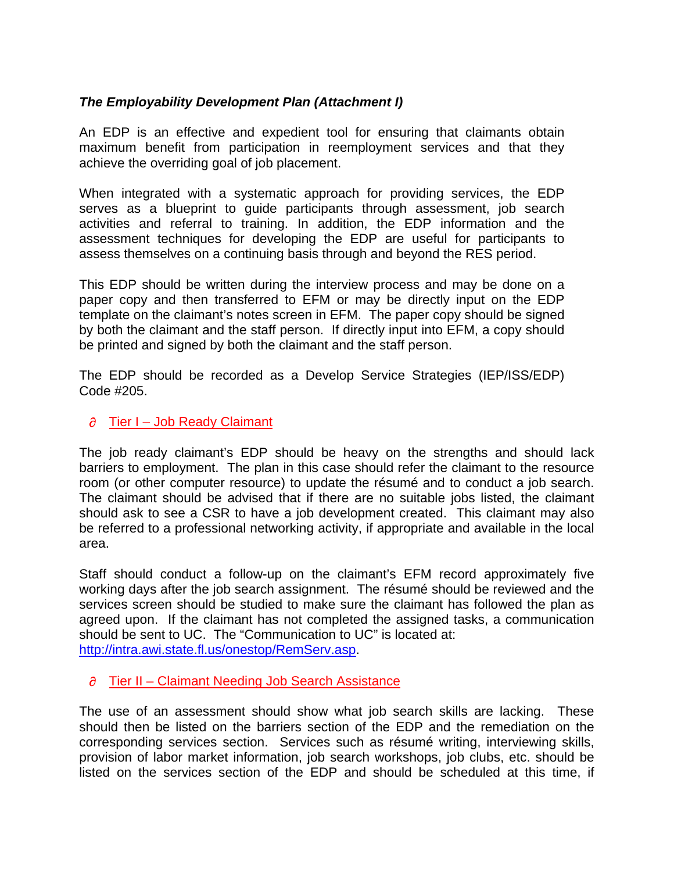## *The Employability Development Plan (Attachment I)*

An EDP is an effective and expedient tool for ensuring that claimants obtain maximum benefit from participation in reemployment services and that they achieve the overriding goal of job placement.

When integrated with a systematic approach for providing services, the EDP serves as a blueprint to guide participants through assessment, job search activities and referral to training. In addition, the EDP information and the assessment techniques for developing the EDP are useful for participants to assess themselves on a continuing basis through and beyond the RES period.

This EDP should be written during the interview process and may be done on a paper copy and then transferred to EFM or may be directly input on the EDP template on the claimant's notes screen in EFM. The paper copy should be signed by both the claimant and the staff person. If directly input into EFM, a copy should be printed and signed by both the claimant and the staff person.

The EDP should be recorded as a Develop Service Strategies (IEP/ISS/EDP) Code #205.

## $\partial$  Tier I – Job Ready Claimant

The job ready claimant's EDP should be heavy on the strengths and should lack barriers to employment. The plan in this case should refer the claimant to the resource room (or other computer resource) to update the résumé and to conduct a job search. The claimant should be advised that if there are no suitable jobs listed, the claimant should ask to see a CSR to have a job development created. This claimant may also be referred to a professional networking activity, if appropriate and available in the local area.

Staff should conduct a follow-up on the claimant's EFM record approximately five working days after the job search assignment. The résumé should be reviewed and the services screen should be studied to make sure the claimant has followed the plan as agreed upon. If the claimant has not completed the assigned tasks, a communication should be sent to UC. The "Communication to UC" is located at: <http://intra.awi.state.fl.us/onestop/RemServ.asp>.

#### $\partial$  Tier II – Claimant Needing Job Search Assistance

The use of an assessment should show what job search skills are lacking. These should then be listed on the barriers section of the EDP and the remediation on the corresponding services section. Services such as résumé writing, interviewing skills, provision of labor market information, job search workshops, job clubs, etc. should be listed on the services section of the EDP and should be scheduled at this time, if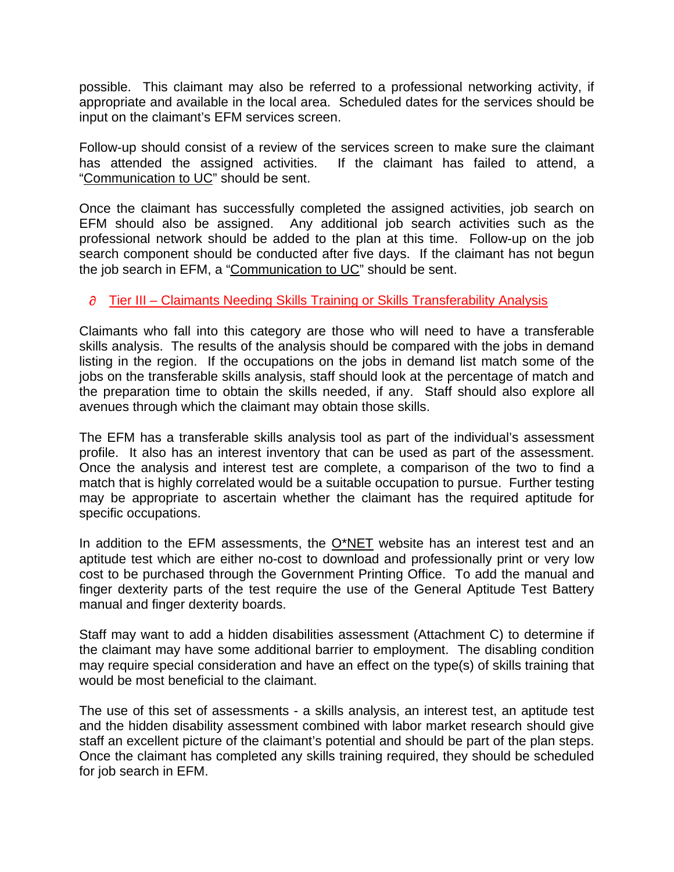possible. This claimant may also be referred to a professional networking activity, if appropriate and available in the local area. Scheduled dates for the services should be input on the claimant's EFM services screen.

Follow-up should consist of a review of the services screen to make sure the claimant has attended the assigned activities. If the claimant has failed to attend, a "[Communication to UC](http://intra.awi.state.fl.us/onestop/RemServ.asp)" should be sent.

Once the claimant has successfully completed the assigned activities, job search on EFM should also be assigned. Any additional job search activities such as the professional network should be added to the plan at this time. Follow-up on the job search component should be conducted after five days. If the claimant has not begun the job search in EFM, a ["Communication to UC"](http://intra.awi.state.fl.us/onestop/RemServ.asp) should be sent.

## $\partial$  Tier III – Claimants Needing Skills Training or Skills Transferability Analysis

Claimants who fall into this category are those who will need to have a transferable skills analysis. The results of the analysis should be compared with the jobs in demand listing in the region. If the occupations on the jobs in demand list match some of the jobs on the transferable skills analysis, staff should look at the percentage of match and the preparation time to obtain the skills needed, if any. Staff should also explore all avenues through which the claimant may obtain those skills.

The EFM has a transferable skills analysis tool as part of the individual's assessment profile. It also has an interest inventory that can be used as part of the assessment. Once the analysis and interest test are complete, a comparison of the two to find a match that is highly correlated would be a suitable occupation to pursue. Further testing may be appropriate to ascertain whether the claimant has the required aptitude for specific occupations.

In addition to the EFM assessments, the  $O^*NET$  website has an interest test and an aptitude test which are either no-cost to download and professionally print or very low cost to be purchased through the Government Printing Office. To add the manual and finger dexterity parts of the test require the use of the General Aptitude Test Battery manual and finger dexterity boards.

Staff may want to add a hidden disabilities assessment (Attachment C) to determine if the claimant may have some additional barrier to employment. The disabling condition may require special consideration and have an effect on the type(s) of skills training that would be most beneficial to the claimant.

The use of this set of assessments - a skills analysis, an interest test, an aptitude test and the hidden disability assessment combined with labor market research should give staff an excellent picture of the claimant's potential and should be part of the plan steps. Once the claimant has completed any skills training required, they should be scheduled for job search in EFM.